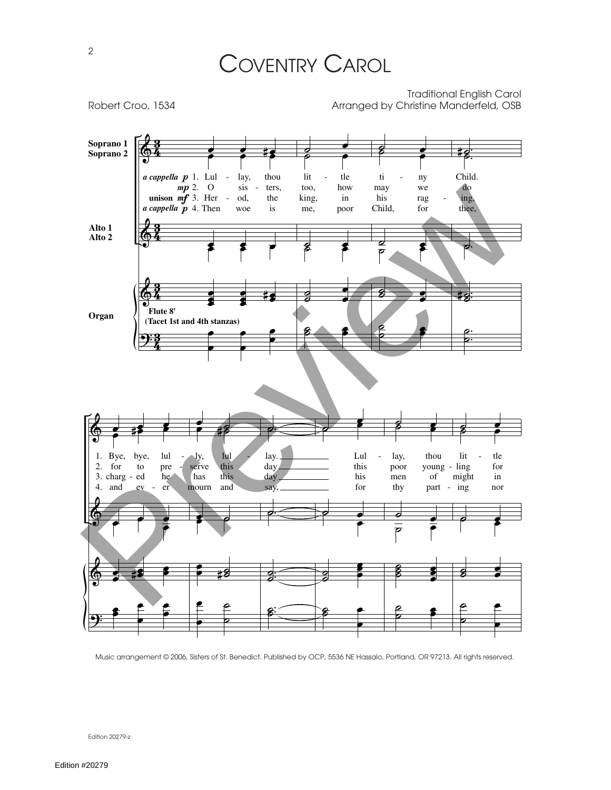



Music arrangement © 2006, Sisters of St. Benedict. Published by OCP, 5536 NE Hassalo, Portland, OR 97213. All rights reserved.

Edition 20279-z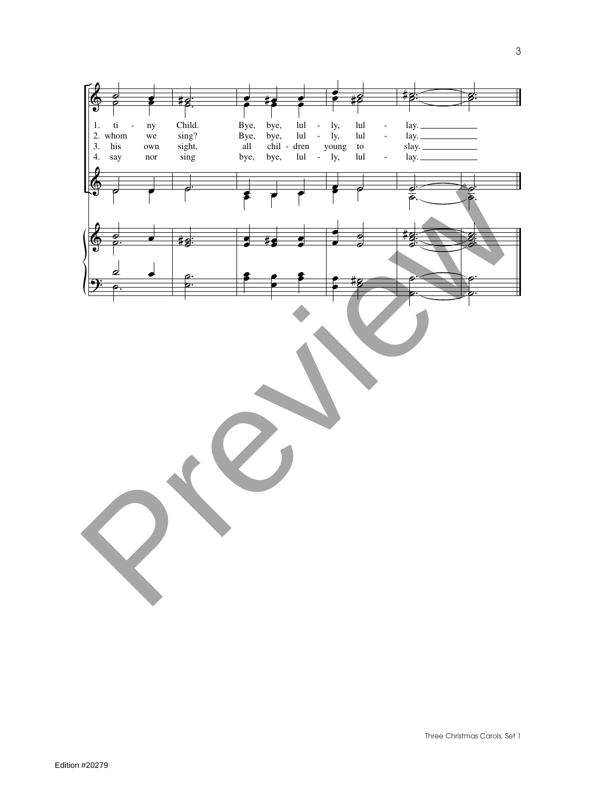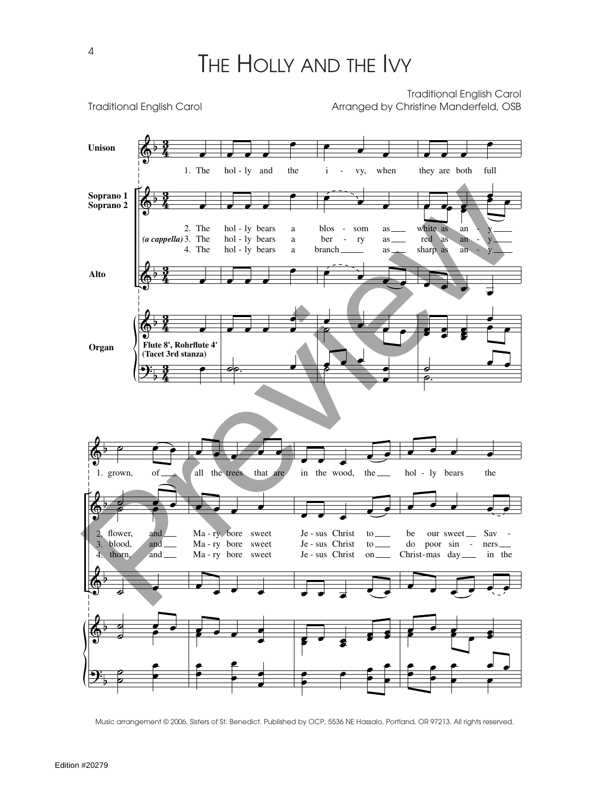Traditional English Carol

Traditional English Carol **Arranged by Christine Manderfeld, OSB**  $\pmb{\phi}$  $\pmb{\phi}$  $\pmb{\phi}$  $\pmb{\phi}$  $\overline{\cdot}$ b b b b b 4 3 <u>วี</u><br>4 <u>3្</u> <u>รี</u><br>4 3 <u>รี</u><br>4 3 4 3 **Unison Soprano 1 Soprano 2 Alto Organ** 2. The (*a cappella*) 3. The 4. The **(Tacet 3rd stanza) Flute 8', Rohrflute 4'** 1. The œ œ œ œ œ  $\overline{\phantom{a}}$ hol - ly and the  $\overline{\cdot}$   $\overline{\cdot}$   $\overline{\cdot}$ hol - ly bears hol - ly bears hol - ly bears a a a  $\overline{\phantom{a}}$  $\overline{\phantom{a}}$ œ **oo. ●** <sup>œ</sup> <sup>œ</sup> <sup>œ</sup> i - vy, when  $\begin{array}{cc} \begin{array}{ccc} \bullet & \bullet & \bullet & \bullet \\ \bullet & \bullet & \bullet & \bullet \end{array} \end{array}$ blos ber branch som ry as as as  $\qquad \qquad \bullet$ <sup>œ</sup> <sup>œ</sup> ˙ œ <sup>œ</sup> <sup>œ</sup> <sup>œ</sup> <sup>œ</sup> <sup>œ</sup>  $\frac{1}{2}$  $\overline{\phantom{a}}$ they are both full  $\overline{\phantom{a}}$ white as red as sharp as an an an y y y  $\cdot$   $\cdot$   $\cdot$ <sup>œ</sup> <sup>œ</sup> <sup>œ</sup> <sup>œ</sup> œ **e** .<br>. . œ œ œ  $\overset{\bullet}{\bullet}$   $\overset{\bullet}{\bullet}$ ˙ <sup>œ</sup> <sup>œ</sup> ˙.  $\spadesuit$  $\blacklozenge$  $\spadesuit$  $\pmb{\phi}$  $\ddot{\textbf{?}}$ b b b b b 2. 3. 4. 1.  $\bullet$   $\bullet$   $\bullet$ grown, of  $\circ$   $\bullet$   $\bullet$ flower, blood, thorn, and and and  $\circ$   $\bullet$  $\overline{\phantom{a}}$  $\overline{\bullet}$ ˙ <sup>œ</sup> œ œ ˙ 。<br>。<br>。 œ e e de la c all the trees that are  $\bullet$   $\bullet$   $\bullet$ Ma - ry bore sweet Ma - ry bore sweet Ma - ry bore sweet  $\cdot$  . .  $\bullet$   $\bullet$   $\bullet$ œ œ œ <sup>œ</sup> <sup>œ</sup> œ œ œ  $\overline{\phantom{a}}$ in the wood, the  $\overline{\phantom{a}}$ Je - sus Christ Je - sus Christ Je - sus Christ to to on  $\overrightarrow{v}$  $\overline{\cdots}$  $\overline{\mathbf{e}}$ **e**  $\frac{1}{2}$   $\frac{1}{2}$   $\frac{1}{2}$   $\frac{1}{2}$ œ  $\cdot$   $\cdot$   $\cdot$ œ œ œ  $\overrightarrow{e}$ hol - ly bears the  $\bullet$   $\bullet$   $\bullet$   $\bullet$   $\bullet$ be do poor sin - ners Christ-mas day in the our sweet Sav -  $\overline{\mathcal{C}}$  $\bullet$   $\bullet$   $\bullet$   $\bullet$ œ  $\frac{1}{2}$ 。<br>。。 。<br>● ● œ œ Soprano 2  $\frac{1}{2}$ <br>
Soprano 2  $\frac{1}{3}$ . The M3 + ly bears a blos - some as well be a set of the set of the set of the set of the set of the set of the set of the set of the set of the set of the set of the set of the se

Music arrangement © 2006, Sisters of St. Benedict. Published by OCP, 5536 NE Hassalo, Portland, OR 97213. All rights reserved.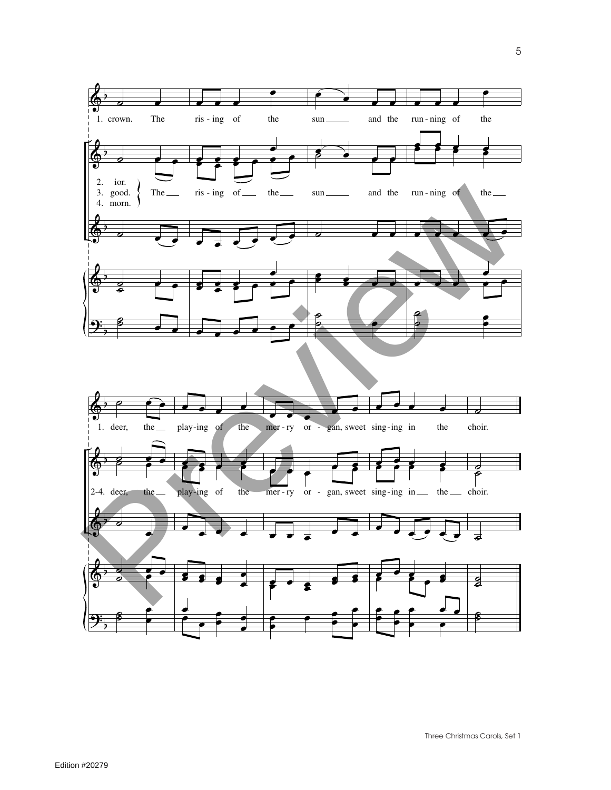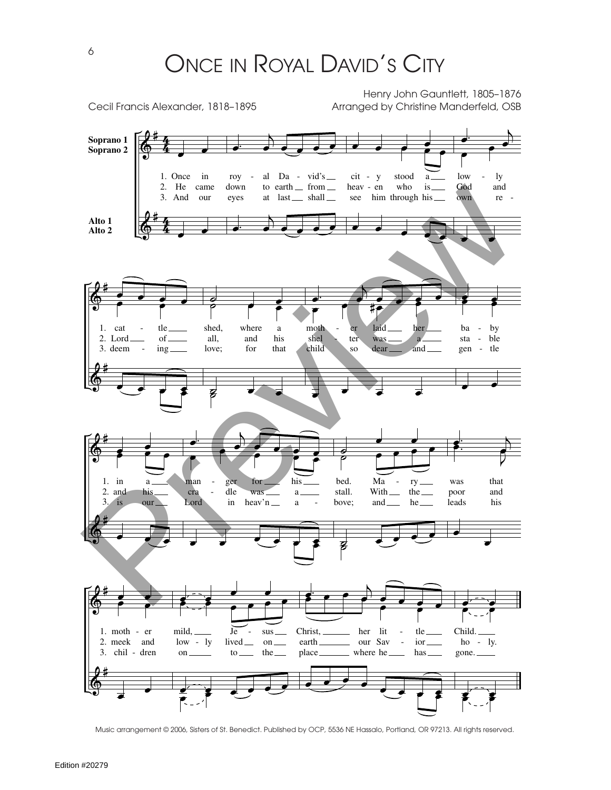Henry John Gauntlett, 1805–1876

Cecil Francis Alexander, 1818-1895 Arranged by Christine Manderfeld, OSB  $\cdot$  ) #  $\cdot$   $\cdot$ 4  $\overrightarrow{e}$   $\overrightarrow{e}$   $\overrightarrow{e}$ œ **Soprano 1**  $\cdot$   $\cdot$   $\cdot$   $\cdot$  $\pmb{\phi}$ 4<br>4  $\frac{\partial}{\partial x^2}$  $\overline{\phantom{a}}$ œ œ **Soprano 2**  $low$ ly 1. Once in roy al Da - vid's cit - y stood a down who is God and 2. He came to earth from heav - en  $\frac{1}{\sqrt[3]{\frac{1}{16}}}\cdot\frac{1}{\sqrt[3]{\frac{1}{16}}}\cdot\frac{1}{\sqrt[3]{\frac{1}{16}}}\cdot\frac{1}{\sqrt[3]{\frac{1}{16}}}\cdot\frac{1}{\sqrt[3]{\frac{1}{16}}}\cdot\frac{1}{\sqrt[3]{\frac{1}{16}}}\cdot\frac{1}{\sqrt[3]{\frac{1}{16}}}\cdot\frac{1}{\sqrt[3]{\frac{1}{16}}}\cdot\frac{1}{\sqrt[3]{\frac{1}{16}}}\cdot\frac{1}{\sqrt[3]{\frac{1}{16}}}\cdot\frac{1}{\sqrt[3]{\frac{1}{16}}}\cdot$ eyes see own re - 3. And our at last<sub>—</sub> shall him through his #  $\cdot$   $\cdot$ 4 **Alto 1**  $\cdot$   $\cdot$   $\cdot$   $\cdot$  $\cdot$   $\cdot$   $\cdot$  $\spadesuit$ 4<br>4  $\overline{\phantom{a}}$ **Alto 2** œ œ #  $\cdot$  jet  $\bullet$ 。<br>。 …  $\epsilon$  $\frac{1}{2}$  $\pmb{\phi}$  $\circ$   $\bullet$   $\bullet$  $\bullet$  $\stackrel{\bullet}{\longrightarrow}$  $\frac{e}{e}$   $\frac{e}{e}$   $\frac{e}{e}$  $\circ$   $\bullet$   $\bullet$ tle shed, where moth laid by 1. cat a er her b<sub>a</sub> all, and his shel - ble 2. Lord of ter was a sta love; for that child ing dear gen - tle 3. deem so and #  $\pmb{\phi}$  $\overline{\cdot}$  $\overline{\cdot}$   $\overline{\cdot}$   $\overline{\cdot}$ œ  $\overline{\mathbf{s}}$  $\frac{1}{2}$  $\frac{1}{\sqrt{1-\frac{1}{\sqrt{1-\frac{1}{\sqrt{1-\frac{1}{\sqrt{1-\frac{1}{\sqrt{1-\frac{1}{\sqrt{1-\frac{1}{\sqrt{1-\frac{1}{\sqrt{1-\frac{1}{\sqrt{1-\frac{1}{\sqrt{1-\frac{1}{\sqrt{1-\frac{1}{\sqrt{1-\frac{1}{\sqrt{1-\frac{1}{\sqrt{1-\frac{1}{\sqrt{1-\frac{1}{\sqrt{1-\frac{1}{\sqrt{1-\frac{1}{\sqrt{1-\frac{1}{\sqrt{1-\frac{1}{\sqrt{1-\frac{1}{\sqrt{1-\frac{1}{\sqrt{1-\frac{1}{\sqrt{1-\frac{1}{\sqrt{1-\frac{1$  $\frac{1}{2}$ #  $\circ$   $\bullet$   $\bullet$   $\bullet$  $\cdot$  in the set of  $\cdot$  $\cdot$  $\frac{1}{2}$  $\overline{\mathbf{e}}$ . 。<br>。 <br>。  $\spadesuit$  $\overline{\phantom{a}}$ œ  $\frac{1}{2}$ man ger for his bed. Ma ry was that 1. in a stall. With 2. and his cra dle was a the poor and bove; his is **Lord** in heav'n and he leads 3. our  $\mathbf{a}$ #  $\breve{\Phi}$  $\cdot$   $\cdot$  $\overline{\mathbf{e}}$   $\overline{\mathbf{e}}$   $\overline{\mathbf{e}}$  $\cdot$   $\cdot$  $\overrightarrow{e}$ œ  $\left( \begin{array}{cc} 0 & 0 \\ 0 & 0 \\ 0 & 0 \end{array} \right)$ #  $\frac{1}{2}$  $\bullet$   $\bullet$   $\bullet$   $\bullet$   $\bullet$   $\bullet$ œ œ  $\frac{\partial}{\partial t}$  $\frac{1}{2}$  $\pmb{\phi}$  $\frac{1}{2}$  $\cdot$   $\cdot$ œ œ 1. moth - er mild, Je  $sus$ <sub>—</sub> Christ, her lit tle Child. lived on earth ior 2. meek and low - ly our Sav ho - ly.  $\overline{\phantom{a}}$ place 3. chil - dren on  $\frac{1}{\sqrt{1-\frac{1}{\sqrt{1-\frac{1}{\sqrt{1-\frac{1}{\sqrt{1-\frac{1}{\sqrt{1-\frac{1}{\sqrt{1-\frac{1}{\sqrt{1-\frac{1}{\sqrt{1-\frac{1}{\sqrt{1-\frac{1}{\sqrt{1-\frac{1}{\sqrt{1-\frac{1}{\sqrt{1-\frac{1}{\sqrt{1-\frac{1}{\sqrt{1-\frac{1}{\sqrt{1-\frac{1}{\sqrt{1-\frac{1}{\sqrt{1-\frac{1}{\sqrt{1-\frac{1}{\sqrt{1-\frac{1}{\sqrt{1-\frac{1}{\sqrt{1-\frac{1}{\sqrt{1-\frac{1}{\sqrt{1-\frac{1}{\sqrt{1-\frac{1$ the where he has gone. #  $\overrightarrow{c}$  $\pmb{\phi}$  $\epsilon$   $\epsilon$   $\epsilon$   $\epsilon$  $\overline{\cdot}$ œ  $\epsilon$   $\epsilon$ 

Music arrangement © 2006, Sisters of St. Benedict. Published by OCP, 5536 NE Hassalo, Portland, OR 97213. All rights reserved.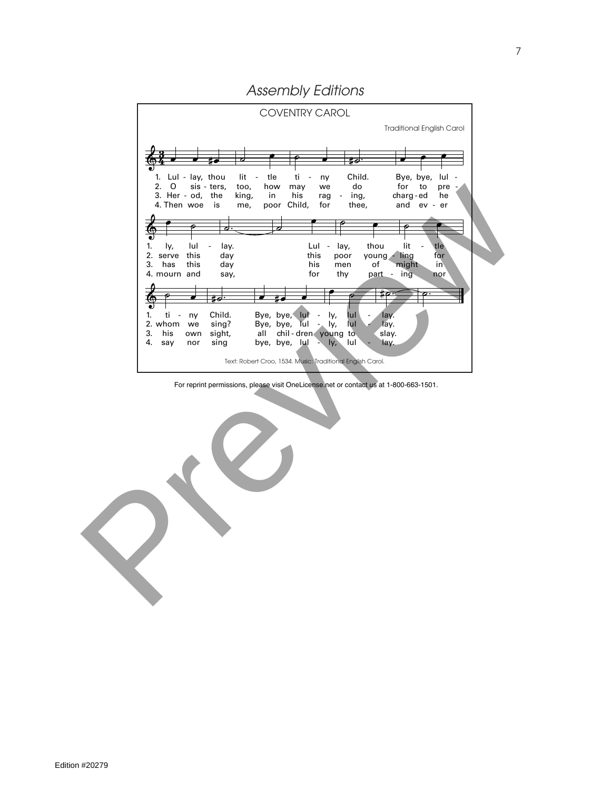*Assembly Editions*